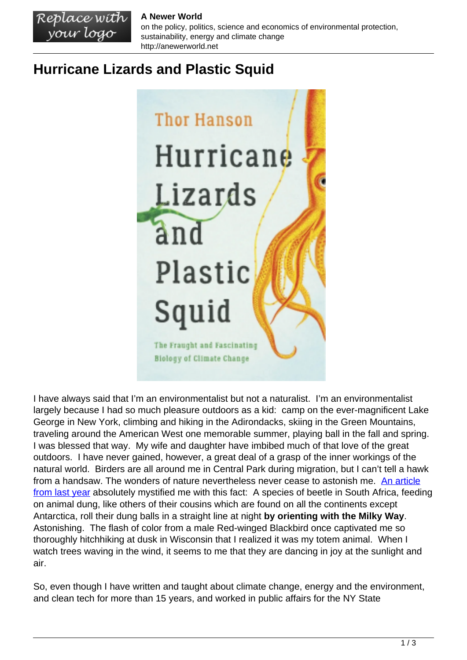## **A Newer World**

on the policy, politics, science and economics of environmental protection, sustainability, energy and climate change http://anewerworld.net

## **Hurricane Lizards and Plastic Squid**

Replace with<br>your logo



I have always said that I'm an environmentalist but not a naturalist. I'm an environmentalist largely because I had so much pleasure outdoors as a kid: camp on the ever-magnificent Lake George in New York, climbing and hiking in the Adirondacks, skiing in the Green Mountains, traveling around the American West one memorable summer, playing ball in the fall and spring. I was blessed that way. My wife and daughter have imbibed much of that love of the great outdoors. I have never gained, however, a great deal of a grasp of the inner workings of the natural world. Birders are all around me in Central Park during migration, but I can't tell a hawk from a handsaw. The wonders of nature nevertheless never cease to astonish me. [An article](https://www.nytimes.com/2021/07/29/science/animals-starlight-navigation-dacke.html) [from last year](https://www.nytimes.com/2021/07/29/science/animals-starlight-navigation-dacke.html) absolutely mystified me with this fact: A species of beetle in South Africa, feeding on animal dung, like others of their cousins which are found on all the continents except Antarctica, roll their dung balls in a straight line at night **by orienting with the Milky Way**. Astonishing. The flash of color from a male Red-winged Blackbird once captivated me so thoroughly hitchhiking at dusk in Wisconsin that I realized it was my totem animal. When I watch trees waving in the wind, it seems to me that they are dancing in joy at the sunlight and air.

So, even though I have written and taught about climate change, energy and the environment, and clean tech for more than 15 years, and worked in public affairs for the NY State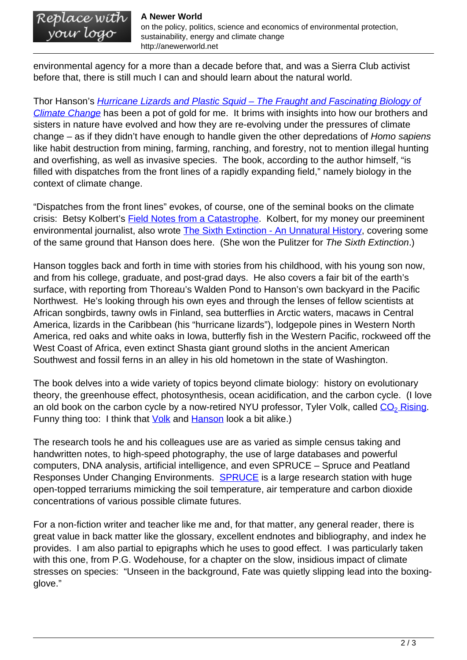## **A Newer World**

Replace with<br>your logo

on the policy, politics, science and economics of environmental protection, sustainability, energy and climate change http://anewerworld.net

environmental agency for a more than a decade before that, and was a Sierra Club activist before that, there is still much I can and should learn about the natural world.

Thor Hanson's *[Hurricane Lizards and Plastic Squid – The Fraught and Fascinating Biology of](https://www.basicbooks.com/titles/thor-hanson/hurricane-lizards-and-plastic-squid/9781541672413/)* [Climate Change](https://www.basicbooks.com/titles/thor-hanson/hurricane-lizards-and-plastic-squid/9781541672413/) has been a pot of gold for me. It brims with insights into how our brothers and sisters in nature have evolved and how they are re-evolving under the pressures of climate change – as if they didn't have enough to handle given the other depredations of Homo sapiens like habit destruction from mining, farming, ranching, and forestry, not to mention illegal hunting and overfishing, as well as invasive species. The book, according to the author himself, "is filled with dispatches from the front lines of a rapidly expanding field," namely biology in the context of climate change.

"Dispatches from the front lines" evokes, of course, one of the seminal books on the climate crisis: Betsy Kolbert's [Field Notes from a Catastrophe.](https://www.bloomsbury.com/us/field-notes-from-a-catastrophe-9781620409886/) Kolbert, for my money our preeminent environmental journalist, also wrote [The Sixth Extinction - An Unnatural History](https://us.macmillan.com/books/9781250062185/thesixthextinction), covering some of the same ground that Hanson does here. (She won the Pulitzer for The Sixth Extinction.)

Hanson toggles back and forth in time with stories from his childhood, with his young son now, and from his college, graduate, and post-grad days. He also covers a fair bit of the earth's surface, with reporting from Thoreau's Walden Pond to Hanson's own backyard in the Pacific Northwest. He's looking through his own eyes and through the lenses of fellow scientists at African songbirds, tawny owls in Finland, sea butterflies in Arctic waters, macaws in Central America, lizards in the Caribbean (his "hurricane lizards"), lodgepole pines in Western North America, red oaks and white oaks in Iowa, butterfly fish in the Western Pacific, rockweed off the West Coast of Africa, even extinct Shasta giant ground sloths in the ancient American Southwest and fossil ferns in an alley in his old hometown in the state of Washington.

The book delves into a wide variety of topics beyond climate biology: history on evolutionary theory, the greenhouse effect, photosynthesis, ocean acidification, and the carbon cycle. (I love an old book on the carbon cycle by a now-retired NYU professor, Tyler Volk, called <u>[CO](https://mitpress.mit.edu/books/co2-rising)<sub>[2](https://mitpress.mit.edu/books/co2-rising)</sub> Rising</u>. Funny thing too: I think that **[Volk](https://images.squarespace-cdn.com/content/v1/56e76cdac6fc0816eb9085a4/1568654230119-01KDVDA4BRLO495MSTH0/image-asset.jpeg?format=1000w)** and **[Hanson](https://static01.nyt.com/images/2011/06/23/arts/Book/Book-jumbo.jpg?quality=75&auto=webp&disable=upscale)** look a bit alike.)

The research tools he and his colleagues use are as varied as simple census taking and handwritten notes, to high-speed photography, the use of large databases and powerful computers, DNA analysis, artificial intelligence, and even SPRUCE – Spruce and Peatland Responses Under Changing Environments. [SPRUCE](https://mnspruce.ornl.gov/) is a large research station with huge open-topped terrariums mimicking the soil temperature, air temperature and carbon dioxide concentrations of various possible climate futures.

For a non-fiction writer and teacher like me and, for that matter, any general reader, there is great value in back matter like the glossary, excellent endnotes and bibliography, and index he provides. I am also partial to epigraphs which he uses to good effect. I was particularly taken with this one, from P.G. Wodehouse, for a chapter on the slow, insidious impact of climate stresses on species: "Unseen in the background, Fate was quietly slipping lead into the boxingglove."